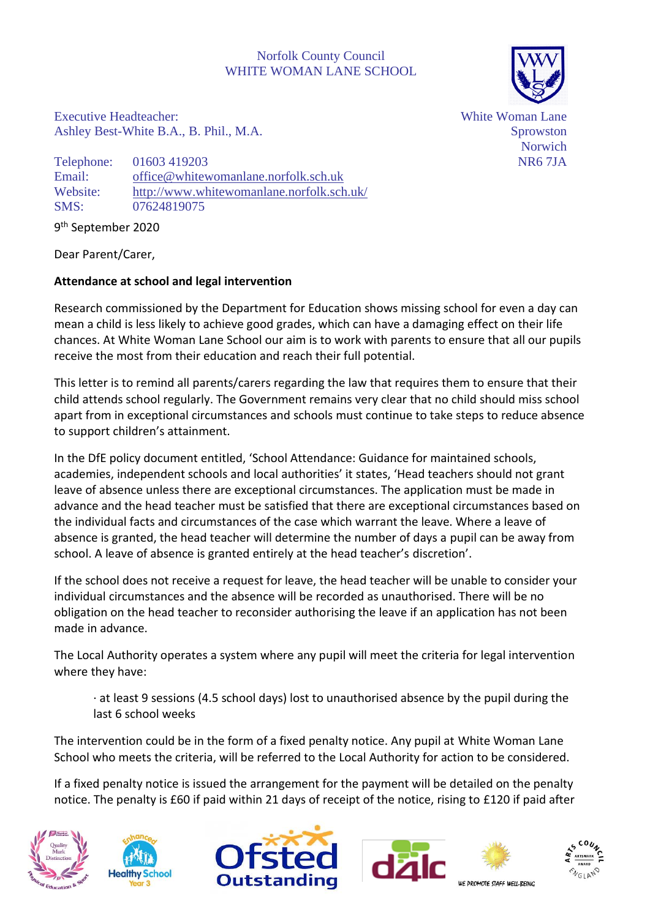## Norfolk County Council WHITE WOMAN LANE SCHOOL



Executive Headteacher: Ashley Best-White B.A., B. Phil., M.A.

Telephone: 01603 419203 Email: [office@whitewomanlane.norfolk.sch.uk](mailto:office@whitewomanlane.norfolk.sch.uk) Website: <http://www.whitewomanlane.norfolk.sch.uk/> SMS: 07624819075

9 th September 2020

Dear Parent/Carer,

## **Attendance at school and legal intervention**

Research commissioned by the Department for Education shows missing school for even a day can mean a child is less likely to achieve good grades, which can have a damaging effect on their life chances. At White Woman Lane School our aim is to work with parents to ensure that all our pupils receive the most from their education and reach their full potential.

This letter is to remind all parents/carers regarding the law that requires them to ensure that their child attends school regularly. The Government remains very clear that no child should miss school apart from in exceptional circumstances and schools must continue to take steps to reduce absence to support children's attainment.

In the DfE policy document entitled, 'School Attendance: Guidance for maintained schools, academies, independent schools and local authorities' it states, 'Head teachers should not grant leave of absence unless there are exceptional circumstances. The application must be made in advance and the head teacher must be satisfied that there are exceptional circumstances based on the individual facts and circumstances of the case which warrant the leave. Where a leave of absence is granted, the head teacher will determine the number of days a pupil can be away from school. A leave of absence is granted entirely at the head teacher's discretion'.

If the school does not receive a request for leave, the head teacher will be unable to consider your individual circumstances and the absence will be recorded as unauthorised. There will be no obligation on the head teacher to reconsider authorising the leave if an application has not been made in advance.

The Local Authority operates a system where any pupil will meet the criteria for legal intervention where they have:

· at least 9 sessions (4.5 school days) lost to unauthorised absence by the pupil during the last 6 school weeks

The intervention could be in the form of a fixed penalty notice. Any pupil at White Woman Lane School who meets the criteria, will be referred to the Local Authority for action to be considered.

If a fixed penalty notice is issued the arrangement for the payment will be detailed on the penalty notice. The penalty is £60 if paid within 21 days of receipt of the notice, rising to £120 if paid after











WE DROMOTE STAFF WELL REINC

White Woman Lane Sprowston Norwich NR6 7JA